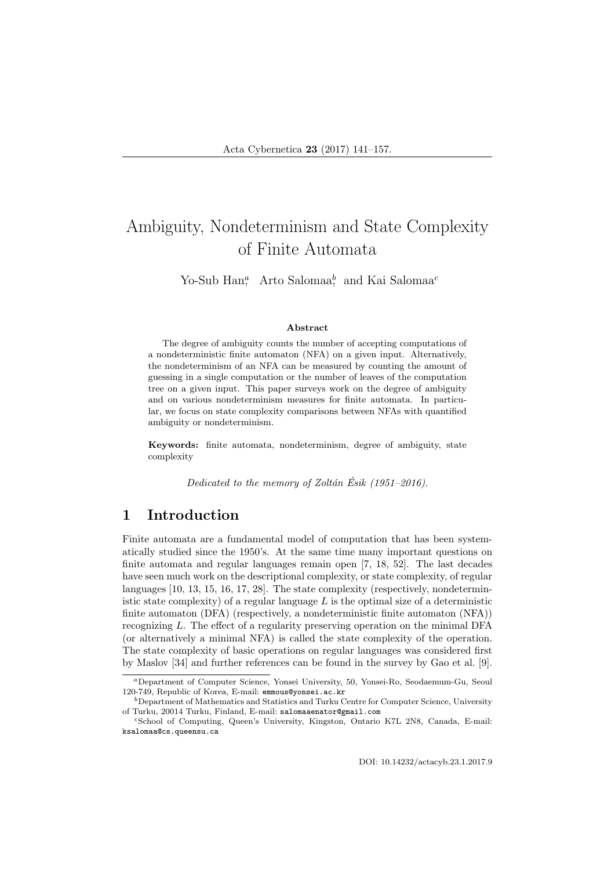# Ambiguity, Nondeterminism and State Complexity of Finite Automata

Yo-Sub Han,<sup>*a*</sup> Arto Salomaa<sup>b</sup>, and Kai Salomaa<sup>c</sup>

#### Abstract

The degree of ambiguity counts the number of accepting computations of a nondeterministic finite automaton (NFA) on a given input. Alternatively, the nondeterminism of an NFA can be measured by counting the amount of guessing in a single computation or the number of leaves of the computation tree on a given input. This paper surveys work on the degree of ambiguity and on various nondeterminism measures for finite automata. In particular, we focus on state complexity comparisons between NFAs with quantified ambiguity or nondeterminism.

Keywords: finite automata, nondeterminism, degree of ambiguity, state complexity

Dedicated to the memory of Zoltán Ésik (1951–2016).

### 1 Introduction

Finite automata are a fundamental model of computation that has been systematically studied since the 1950's. At the same time many important questions on finite automata and regular languages remain open [7, 18, 52]. The last decades have seen much work on the descriptional complexity, or state complexity, of regular languages [10, 13, 15, 16, 17, 28]. The state complexity (respectively, nondeterministic state complexity) of a regular language  $L$  is the optimal size of a deterministic finite automaton (DFA) (respectively, a nondeterministic finite automaton (NFA)) recognizing L. The effect of a regularity preserving operation on the minimal DFA (or alternatively a minimal NFA) is called the state complexity of the operation. The state complexity of basic operations on regular languages was considered first by Maslov [34] and further references can be found in the survey by Gao et al. [9].

DOI: 10.14232/actacyb.23.1.2017.9

<sup>a</sup>Department of Computer Science, Yonsei University, 50, Yonsei-Ro, Seodaemum-Gu, Seoul 120-749, Republic of Korea, E-mail: emmous@yonsei.ac.kr

 $^b$ Department of Mathematics and Statistics and Turku Centre for Computer Science, University of Turku, 20014 Turku, Finland, E-mail: salomaaenator@gmail.com

<sup>c</sup>School of Computing, Queen's University, Kingston, Ontario K7L 2N8, Canada, E-mail: ksalomaa@cs.queensu.ca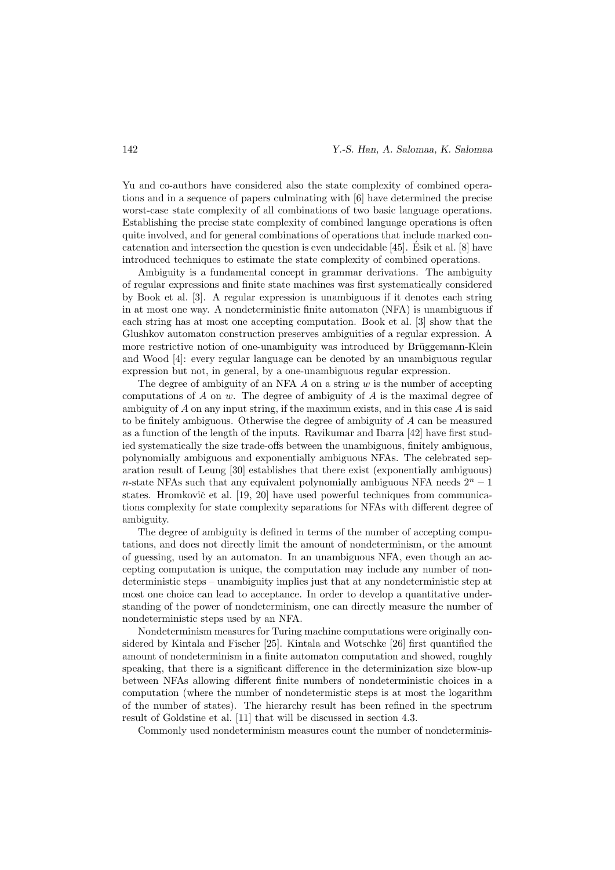Yu and co-authors have considered also the state complexity of combined operations and in a sequence of papers culminating with [6] have determined the precise worst-case state complexity of all combinations of two basic language operations. Establishing the precise state complexity of combined language operations is often quite involved, and for general combinations of operations that include marked concatenation and intersection the question is even undecidable [45]. Esik et al. [8] have ´ introduced techniques to estimate the state complexity of combined operations.

Ambiguity is a fundamental concept in grammar derivations. The ambiguity of regular expressions and finite state machines was first systematically considered by Book et al. [3]. A regular expression is unambiguous if it denotes each string in at most one way. A nondeterministic finite automaton (NFA) is unambiguous if each string has at most one accepting computation. Book et al. [3] show that the Glushkov automaton construction preserves ambiguities of a regular expression. A more restrictive notion of one-unambiguity was introduced by Brüggemann-Klein and Wood [4]: every regular language can be denoted by an unambiguous regular expression but not, in general, by a one-unambiguous regular expression.

The degree of ambiguity of an NFA  $\tilde{A}$  on a string  $w$  is the number of accepting computations of  $A$  on  $w$ . The degree of ambiguity of  $A$  is the maximal degree of ambiguity of  $A$  on any input string, if the maximum exists, and in this case  $A$  is said to be finitely ambiguous. Otherwise the degree of ambiguity of A can be measured as a function of the length of the inputs. Ravikumar and Ibarra [42] have first studied systematically the size trade-offs between the unambiguous, finitely ambiguous, polynomially ambiguous and exponentially ambiguous NFAs. The celebrated separation result of Leung [30] establishes that there exist (exponentially ambiguous) n-state NFAs such that any equivalent polynomially ambiguous NFA needs  $2<sup>n</sup> - 1$ states. Hromkovič et al. [19, 20] have used powerful techniques from communications complexity for state complexity separations for NFAs with different degree of ambiguity.

The degree of ambiguity is defined in terms of the number of accepting computations, and does not directly limit the amount of nondeterminism, or the amount of guessing, used by an automaton. In an unambiguous NFA, even though an accepting computation is unique, the computation may include any number of nondeterministic steps – unambiguity implies just that at any nondeterministic step at most one choice can lead to acceptance. In order to develop a quantitative understanding of the power of nondeterminism, one can directly measure the number of nondeterministic steps used by an NFA.

Nondeterminism measures for Turing machine computations were originally considered by Kintala and Fischer [25]. Kintala and Wotschke [26] first quantified the amount of nondeterminism in a finite automaton computation and showed, roughly speaking, that there is a significant difference in the determinization size blow-up between NFAs allowing different finite numbers of nondeterministic choices in a computation (where the number of nondetermistic steps is at most the logarithm of the number of states). The hierarchy result has been refined in the spectrum result of Goldstine et al. [11] that will be discussed in section 4.3.

Commonly used nondeterminism measures count the number of nondeterminis-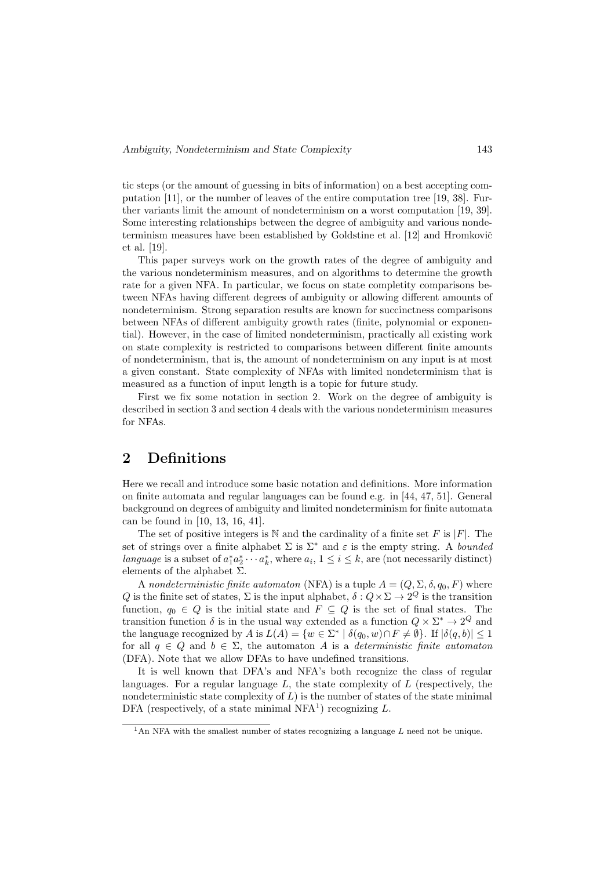tic steps (or the amount of guessing in bits of information) on a best accepting computation [11], or the number of leaves of the entire computation tree [19, 38]. Further variants limit the amount of nondeterminism on a worst computation [19, 39]. Some interesting relationships between the degree of ambiguity and various nondeterminism measures have been established by Goldstine et al.  $[12]$  and Hromkovič et al. [19].

This paper surveys work on the growth rates of the degree of ambiguity and the various nondeterminism measures, and on algorithms to determine the growth rate for a given NFA. In particular, we focus on state completity comparisons between NFAs having different degrees of ambiguity or allowing different amounts of nondeterminism. Strong separation results are known for succinctness comparisons between NFAs of different ambiguity growth rates (finite, polynomial or exponential). However, in the case of limited nondeterminism, practically all existing work on state complexity is restricted to comparisons between different finite amounts of nondeterminism, that is, the amount of nondeterminism on any input is at most a given constant. State complexity of NFAs with limited nondeterminism that is measured as a function of input length is a topic for future study.

First we fix some notation in section 2. Work on the degree of ambiguity is described in section 3 and section 4 deals with the various nondeterminism measures for NFAs.

### 2 Definitions

Here we recall and introduce some basic notation and definitions. More information on finite automata and regular languages can be found e.g. in [44, 47, 51]. General background on degrees of ambiguity and limited nondeterminism for finite automata can be found in [10, 13, 16, 41].

The set of positive integers is  $N$  and the cardinality of a finite set F is |F|. The set of strings over a finite alphabet  $\Sigma$  is  $\Sigma^*$  and  $\varepsilon$  is the empty string. A *bounded* language is a subset of  $a_1^* a_2^* \cdots a_k^*$ , where  $a_i$ ,  $1 \le i \le k$ , are (not necessarily distinct) elements of the alphabet  $\Sigma$ .

A nondeterministic finite automaton (NFA) is a tuple  $A = (Q, \Sigma, \delta, q_0, F)$  where Q is the finite set of states,  $\Sigma$  is the input alphabet,  $\delta: Q \times \Sigma \to 2^Q$  is the transition function,  $q_0 \in Q$  is the initial state and  $F \subseteq Q$  is the set of final states. The transition function  $\delta$  is in the usual way extended as a function  $Q \times \Sigma^* \to 2^Q$  and the language recognized by A is  $L(A) = \{w \in \Sigma^* \mid \delta(q_0, w) \cap F \neq \emptyset\}$ . If  $|\delta(q, b)| \leq 1$ for all  $q \in Q$  and  $b \in \Sigma$ , the automaton A is a *deterministic finite automaton* (DFA). Note that we allow DFAs to have undefined transitions.

It is well known that DFA's and NFA's both recognize the class of regular languages. For a regular language  $L$ , the state complexity of  $L$  (respectively, the nondeterministic state complexity of  $L$ ) is the number of states of the state minimal DFA (respectively, of a state minimal NFA<sup>1</sup>) recognizing  $L$ .

<sup>&</sup>lt;sup>1</sup>An NFA with the smallest number of states recognizing a language L need not be unique.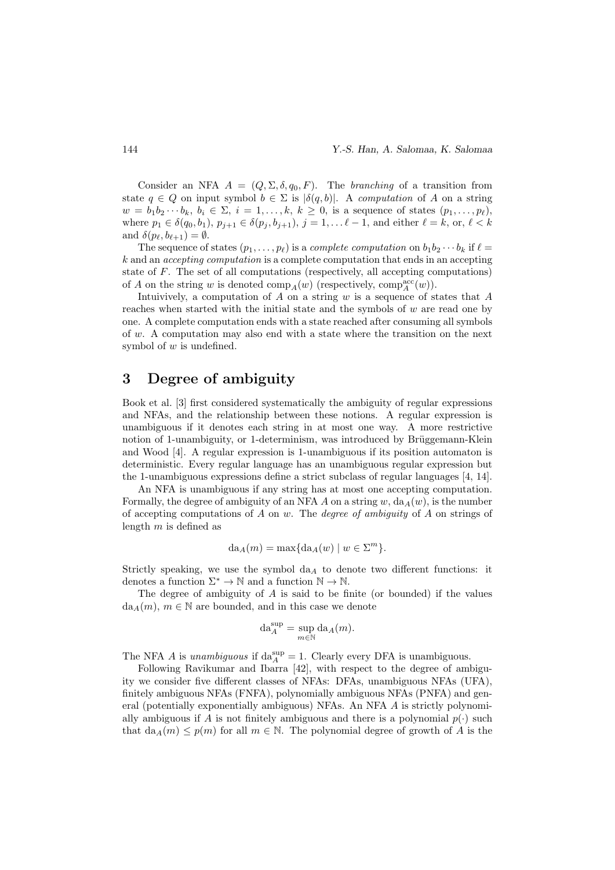Consider an NFA  $A = (Q, \Sigma, \delta, q_0, F)$ . The branching of a transition from state  $q \in Q$  on input symbol  $b \in \Sigma$  is  $|\delta(q, b)|$ . A computation of A on a string  $w = b_1b_2\cdots b_k, b_i \in \Sigma, i = 1,\ldots,k, k \geq 0$ , is a sequence of states  $(p_1,\ldots,p_\ell)$ , where  $p_1 \in \delta(q_0, b_1), p_{j+1} \in \delta(p_j, b_{j+1}), j = 1, \ldots \ell - 1$ , and either  $\ell = k$ , or,  $\ell < k$ and  $\delta(p_\ell, b_{\ell+1}) = \emptyset$ .

The sequence of states  $(p_1, \ldots, p_\ell)$  is a *complete computation* on  $b_1b_2 \cdots b_k$  if  $\ell =$ k and an accepting computation is a complete computation that ends in an accepting state of F. The set of all computations (respectively, all accepting computations) of A on the string w is denoted  $\text{comp}_A(w)$  (respectively,  $\text{comp}_A^{\text{acc}}(w)$ ).

Intuivively, a computation of  $A$  on a string  $w$  is a sequence of states that  $A$ reaches when started with the initial state and the symbols of  $w$  are read one by one. A complete computation ends with a state reached after consuming all symbols of w. A computation may also end with a state where the transition on the next symbol of  $w$  is undefined.

# 3 Degree of ambiguity

Book et al. [3] first considered systematically the ambiguity of regular expressions and NFAs, and the relationship between these notions. A regular expression is unambiguous if it denotes each string in at most one way. A more restrictive notion of 1-unambiguity, or 1-determinism, was introduced by Brüggemann-Klein and Wood [4]. A regular expression is 1-unambiguous if its position automaton is deterministic. Every regular language has an unambiguous regular expression but the 1-unambiguous expressions define a strict subclass of regular languages [4, 14].

An NFA is unambiguous if any string has at most one accepting computation. Formally, the degree of ambiguity of an NFA A on a string w,  $da_A(w)$ , is the number of accepting computations of  $A$  on  $w$ . The *degree of ambiguity* of  $A$  on strings of length  $m$  is defined as

$$
da_A(m) = \max\{da_A(w) \mid w \in \Sigma^m\}.
$$

Strictly speaking, we use the symbol  $da<sub>A</sub>$  to denote two different functions: it denotes a function  $\Sigma^* \to \mathbb{N}$  and a function  $\mathbb{N} \to \mathbb{N}$ .

The degree of ambiguity of  $A$  is said to be finite (or bounded) if the values  $da_A(m)$ ,  $m \in \mathbb{N}$  are bounded, and in this case we denote

$$
\mathrm{da}_{A}^{\sup} = \sup_{m \in \mathbb{N}} \mathrm{da}_{A}(m).
$$

The NFA A is *unambiguous* if  $da_A^{sup} = 1$ . Clearly every DFA is unambiguous.

Following Ravikumar and Ibarra [42], with respect to the degree of ambiguity we consider five different classes of NFAs: DFAs, unambiguous NFAs (UFA), finitely ambiguous NFAs (FNFA), polynomially ambiguous NFAs (PNFA) and general (potentially exponentially ambiguous) NFAs. An NFA A is strictly polynomially ambiguous if A is not finitely ambiguous and there is a polynomial  $p(\cdot)$  such that  $da_A(m) \leq p(m)$  for all  $m \in \mathbb{N}$ . The polynomial degree of growth of A is the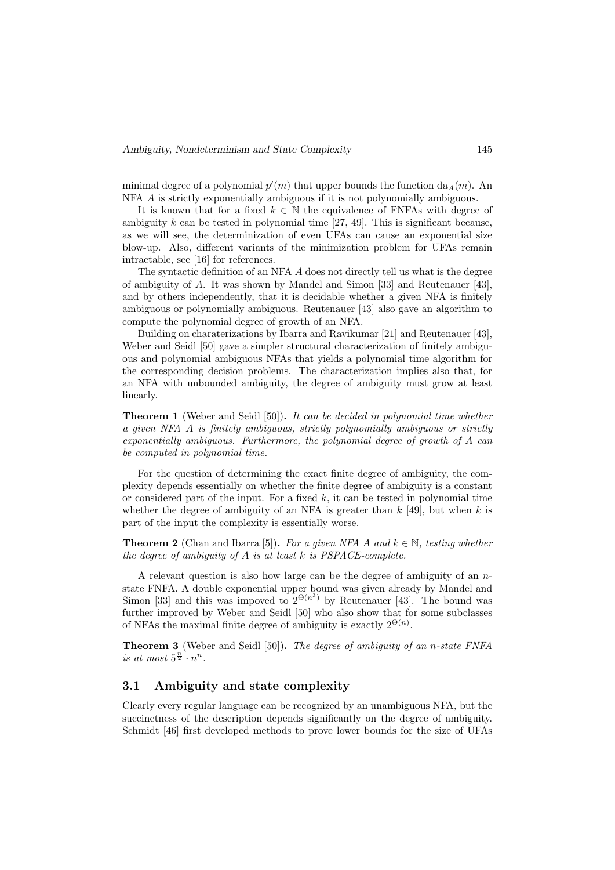minimal degree of a polynomial  $p'(m)$  that upper bounds the function  $da_A(m)$ . An NFA A is strictly exponentially ambiguous if it is not polynomially ambiguous.

It is known that for a fixed  $k \in \mathbb{N}$  the equivalence of FNFAs with degree of ambiguity k can be tested in polynomial time  $[27, 49]$ . This is significant because, as we will see, the determinization of even UFAs can cause an exponential size blow-up. Also, different variants of the minimization problem for UFAs remain intractable, see [16] for references.

The syntactic definition of an NFA A does not directly tell us what is the degree of ambiguity of A. It was shown by Mandel and Simon [33] and Reutenauer [43], and by others independently, that it is decidable whether a given NFA is finitely ambiguous or polynomially ambiguous. Reutenauer [43] also gave an algorithm to compute the polynomial degree of growth of an NFA.

Building on charaterizations by Ibarra and Ravikumar [21] and Reutenauer [43], Weber and Seidl [50] gave a simpler structural characterization of finitely ambiguous and polynomial ambiguous NFAs that yields a polynomial time algorithm for the corresponding decision problems. The characterization implies also that, for an NFA with unbounded ambiguity, the degree of ambiguity must grow at least linearly.

**Theorem 1** (Weber and Seidl [50]). It can be decided in polynomial time whether a given NFA A is finitely ambiguous, strictly polynomially ambiguous or strictly exponentially ambiguous. Furthermore, the polynomial degree of growth of A can be computed in polynomial time.

For the question of determining the exact finite degree of ambiguity, the complexity depends essentially on whether the finite degree of ambiguity is a constant or considered part of the input. For a fixed  $k$ , it can be tested in polynomial time whether the degree of ambiguity of an NFA is greater than  $k$  [49], but when k is part of the input the complexity is essentially worse.

**Theorem 2** (Chan and Ibarra [5]). For a given NFA A and  $k \in \mathbb{N}$ , testing whether the degree of ambiguity of  $A$  is at least  $k$  is PSPACE-complete.

A relevant question is also how large can be the degree of ambiguity of an  $n$ state FNFA. A double exponential upper bound was given already by Mandel and Simon [33] and this was impoved to  $2^{\Theta(n^3)}$  by Reutenauer [43]. The bound was further improved by Weber and Seidl [50] who also show that for some subclasses of NFAs the maximal finite degree of ambiguity is exactly  $2^{\Theta(n)}$ .

Theorem 3 (Weber and Seidl [50]). The degree of ambiguity of an n-state FNFA is at most  $5^{\frac{n}{2}} \cdot n^n$ .

#### 3.1 Ambiguity and state complexity

Clearly every regular language can be recognized by an unambiguous NFA, but the succinctness of the description depends significantly on the degree of ambiguity. Schmidt [46] first developed methods to prove lower bounds for the size of UFAs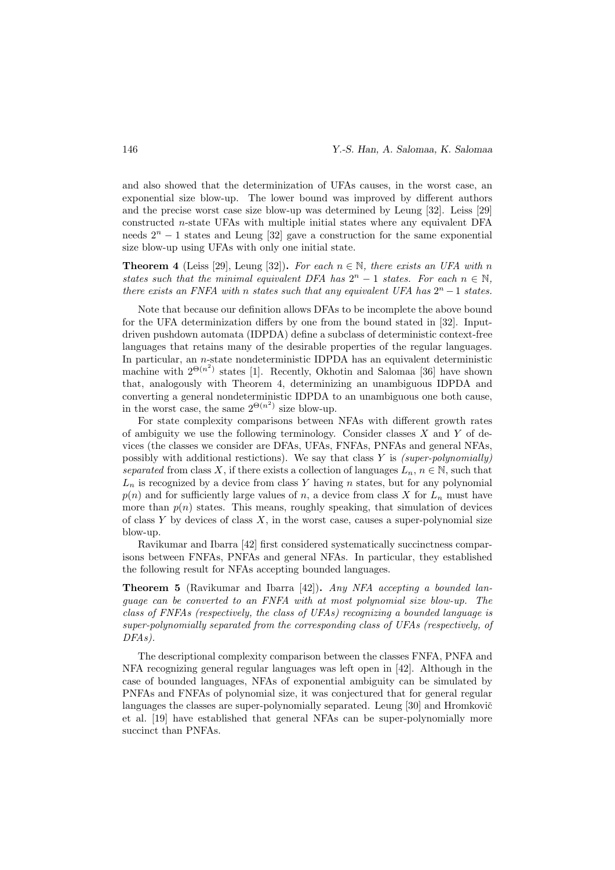and also showed that the determinization of UFAs causes, in the worst case, an exponential size blow-up. The lower bound was improved by different authors and the precise worst case size blow-up was determined by Leung [32]. Leiss [29] constructed n-state UFAs with multiple initial states where any equivalent DFA needs  $2^{n} - 1$  states and Leung [32] gave a construction for the same exponential size blow-up using UFAs with only one initial state.

**Theorem 4** (Leiss [29], Leung [32]). For each  $n \in \mathbb{N}$ , there exists an UFA with n states such that the minimal equivalent DFA has  $2^{n} - 1$  states. For each  $n \in \mathbb{N}$ , there exists an FNFA with n states such that any equivalent UFA has  $2^n - 1$  states.

Note that because our definition allows DFAs to be incomplete the above bound for the UFA determinization differs by one from the bound stated in [32]. Inputdriven pushdown automata (IDPDA) define a subclass of deterministic context-free languages that retains many of the desirable properties of the regular languages. In particular, an n-state nondeterministic IDPDA has an equivalent deterministic machine with  $2^{\Theta(n^2)}$  states [1]. Recently, Okhotin and Salomaa [36] have shown that, analogously with Theorem 4, determinizing an unambiguous IDPDA and converting a general nondeterministic IDPDA to an unambiguous one both cause, in the worst case, the same  $2^{\Theta(n^2)}$  size blow-up.

For state complexity comparisons between NFAs with different growth rates of ambiguity we use the following terminology. Consider classes  $X$  and  $Y$  of devices (the classes we consider are DFAs, UFAs, FNFAs, PNFAs and general NFAs, possibly with additional restictions). We say that class  $Y$  is (super-polynomially) separated from class X, if there exists a collection of languages  $L_n$ ,  $n \in \mathbb{N}$ , such that  $L_n$  is recognized by a device from class Y having n states, but for any polynomial  $p(n)$  and for sufficiently large values of n, a device from class X for  $L_n$  must have more than  $p(n)$  states. This means, roughly speaking, that simulation of devices of class  $Y$  by devices of class  $X$ , in the worst case, causes a super-polynomial size blow-up.

Ravikumar and Ibarra [42] first considered systematically succinctness comparisons between FNFAs, PNFAs and general NFAs. In particular, they established the following result for NFAs accepting bounded languages.

Theorem 5 (Ravikumar and Ibarra [42]). Any NFA accepting a bounded language can be converted to an FNFA with at most polynomial size blow-up. The class of FNFAs (respectively, the class of UFAs) recognizing a bounded language is super-polynomially separated from the corresponding class of UFAs (respectively, of DFAs).

The descriptional complexity comparison between the classes FNFA, PNFA and NFA recognizing general regular languages was left open in [42]. Although in the case of bounded languages, NFAs of exponential ambiguity can be simulated by PNFAs and FNFAs of polynomial size, it was conjectured that for general regular languages the classes are super-polynomially separated. Leung [30] and Hromkovič et al. [19] have established that general NFAs can be super-polynomially more succinct than PNFAs.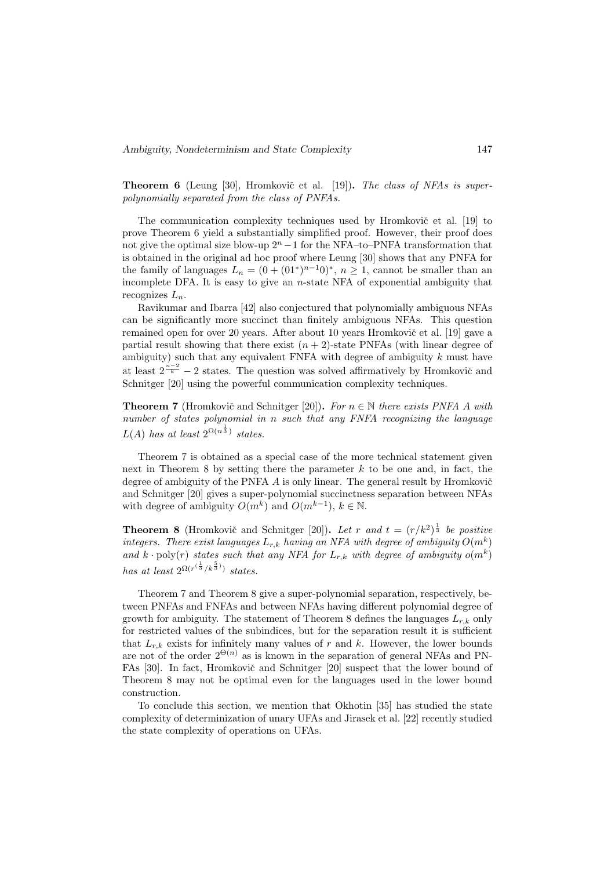**Theorem 6** (Leung [30], Hromkovič et al. [19]). The class of NFAs is superpolynomially separated from the class of PNFAs.

The communication complexity techniques used by Hromkovič et al. [19] to prove Theorem 6 yield a substantially simplified proof. However, their proof does not give the optimal size blow-up  $2<sup>n</sup> - 1$  for the NFA–to–PNFA transformation that is obtained in the original ad hoc proof where Leung [30] shows that any PNFA for the family of languages  $L_n = (0 + (01^*)^{n-1}0)^*$ ,  $n \ge 1$ , cannot be smaller than an incomplete DFA. It is easy to give an  $n$ -state NFA of exponential ambiguity that recognizes  $L_n$ .

Ravikumar and Ibarra [42] also conjectured that polynomially ambiguous NFAs can be significantly more succinct than finitely ambiguous NFAs. This question remained open for over 20 years. After about 10 years Hromkovič et al. [19] gave a partial result showing that there exist  $(n + 2)$ -state PNFAs (with linear degree of ambiguity) such that any equivalent FNFA with degree of ambiguity  $k$  must have at least  $2^{\frac{n-2}{k}} - 2$  states. The question was solved affirmatively by Hromkovič and Schnitger [20] using the powerful communication complexity techniques.

**Theorem 7** (Hromkovič and Schnitger [20]). For  $n \in \mathbb{N}$  there exists PNFA A with number of states polynomial in n such that any FNFA recognizing the language  $L(A)$  has at least  $2^{\Omega(n^{\frac{1}{3}})}$  states.

Theorem 7 is obtained as a special case of the more technical statement given next in Theorem 8 by setting there the parameter  $k$  to be one and, in fact, the degree of ambiguity of the PNFA  $\tilde{A}$  is only linear. The general result by Hromkovič and Schnitger [20] gives a super-polynomial succinctness separation between NFAs with degree of ambiguity  $O(m^k)$  and  $O(m^{k-1}), k \in \mathbb{N}$ .

**Theorem 8** (Hromkovič and Schnitger [20]). Let r and  $t = (r/k^2)^{\frac{1}{3}}$  be positive integers. There exist languages  $L_{r,k}$  having an NFA with degree of ambiguity  $O(m^k)$ and  $k \cdot \text{poly}(r)$  states such that any NFA for  $L_{r,k}$  with degree of ambiguity  $o(m^k)$ has at least  $2^{\Omega(r^{(\frac{1}{3}}/k^{\frac{5}{3}}))}$  states.

Theorem 7 and Theorem 8 give a super-polynomial separation, respectively, between PNFAs and FNFAs and between NFAs having different polynomial degree of growth for ambiguity. The statement of Theorem 8 defines the languages  $L_{r,k}$  only for restricted values of the subindices, but for the separation result it is sufficient that  $L_{r,k}$  exists for infinitely many values of r and k. However, the lower bounds are not of the order  $2^{\Theta(n)}$  as is known in the separation of general NFAs and PN-FAs [30]. In fact, Hromkovič and Schnitger [20] suspect that the lower bound of Theorem 8 may not be optimal even for the languages used in the lower bound construction.

To conclude this section, we mention that Okhotin [35] has studied the state complexity of determinization of unary UFAs and Jirasek et al. [22] recently studied the state complexity of operations on UFAs.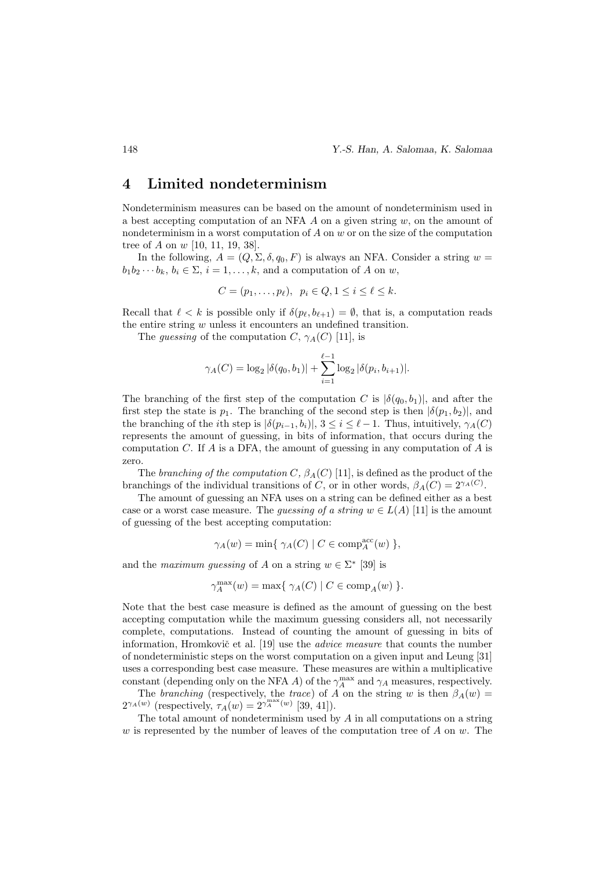### 4 Limited nondeterminism

Nondeterminism measures can be based on the amount of nondeterminism used in a best accepting computation of an NFA  $\tilde{A}$  on a given string  $w$ , on the amount of nondeterminism in a worst computation of  $A$  on  $w$  or on the size of the computation tree of A on w [10, 11, 19, 38].

In the following,  $A = (Q, \Sigma, \delta, q_0, F)$  is always an NFA. Consider a string  $w =$  $b_1b_2\cdots b_k, b_i \in \Sigma$ ,  $i=1,\ldots,k$ , and a computation of A on w,

$$
C = (p_1, \ldots, p_\ell), \ \ p_i \in Q, 1 \leq i \leq \ell \leq k.
$$

Recall that  $\ell < k$  is possible only if  $\delta(p_\ell, b_{\ell+1}) = \emptyset$ , that is, a computation reads the entire string  $w$  unless it encounters an undefined transition.

The *quessing* of the computation C,  $\gamma_A(C)$  [11], is

$$
\gamma_A(C) = \log_2 |\delta(q_0, b_1)| + \sum_{i=1}^{\ell-1} \log_2 |\delta(p_i, b_{i+1})|.
$$

The branching of the first step of the computation C is  $|\delta(q_0, b_1)|$ , and after the first step the state is  $p_1$ . The branching of the second step is then  $|\delta(p_1, b_2)|$ , and the branching of the *i*th step is  $|\delta(p_{i-1}, b_i)|, 3 \le i \le \ell - 1$ . Thus, intuitively,  $\gamma_A(C)$ represents the amount of guessing, in bits of information, that occurs during the computation C. If A is a DFA, the amount of guessing in any computation of A is zero.

The branching of the computation C,  $\beta_A(C)$  [11], is defined as the product of the branchings of the individual transitions of C, or in other words,  $\beta_A(C) = 2^{\gamma_A(C)}$ .

The amount of guessing an NFA uses on a string can be defined either as a best case or a worst case measure. The *quessing of a string*  $w \in L(A)$  [11] is the amount of guessing of the best accepting computation:

$$
\gamma_A(w) = \min\{ \gamma_A(C) \mid C \in \text{comp}_A^{\text{acc}}(w) \} ,
$$

and the maximum guessing of A on a string  $w \in \Sigma^*$  [39] is

$$
\gamma_A^{\max}(w) = \max\{ \gamma_A(C) \mid C \in \text{comp}_A(w) \}.
$$

Note that the best case measure is defined as the amount of guessing on the best accepting computation while the maximum guessing considers all, not necessarily complete, computations. Instead of counting the amount of guessing in bits of information, Hromkovič et al.  $[19]$  use the *advice measure* that counts the number of nondeterministic steps on the worst computation on a given input and Leung [31] uses a corresponding best case measure. These measures are within a multiplicative constant (depending only on the NFA  $A$ ) of the  $\gamma^{\rm max}_A$  and  $\gamma_A$  measures, respectively.

The branching (respectively, the trace) of A on the string w is then  $\beta_A(w)$  =  $2^{\gamma_A(w)}$  (respectively,  $\tau_A(w) = 2^{\gamma_A^{max}(w)}$  [39, 41]).

The total amount of nondeterminism used by  $A$  in all computations on a string w is represented by the number of leaves of the computation tree of  $A$  on  $w$ . The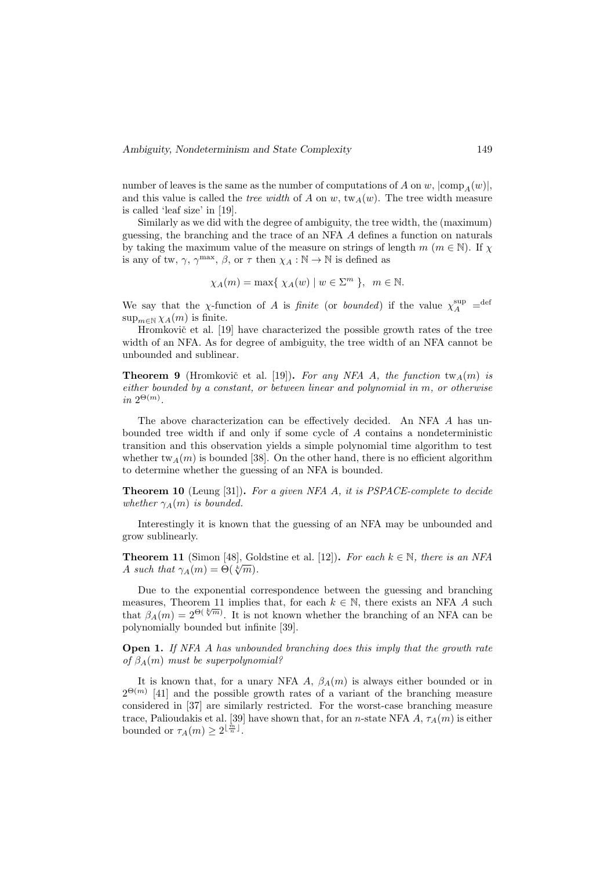number of leaves is the same as the number of computations of A on w,  $|\text{comp}_A(w)|$ , and this value is called the *tree width* of A on w,  $\text{tw}_{A}(w)$ . The tree width measure is called 'leaf size' in [19].

Similarly as we did with the degree of ambiguity, the tree width, the (maximum) guessing, the branching and the trace of an NFA A defines a function on naturals by taking the maximum value of the measure on strings of length  $m \ (m \in \mathbb{N})$ . If  $\chi$ is any of tw,  $\gamma$ ,  $\gamma^{\max}$ ,  $\beta$ , or  $\tau$  then  $\chi_A : \mathbb{N} \to \mathbb{N}$  is defined as

$$
\chi_A(m) = \max\{ \chi_A(w) \mid w \in \Sigma^m \}, \ \ m \in \mathbb{N}.
$$

We say that the x-function of A is finite (or bounded) if the value  $\chi_A^{\text{sup}}$  = def  $\sup_{m\in\mathbb{N}} \chi_A(m)$  is finite.

Hromkovič et al. [19] have characterized the possible growth rates of the tree width of an NFA. As for degree of ambiguity, the tree width of an NFA cannot be unbounded and sublinear.

**Theorem 9** (Hromkovič et al. [19]). For any NFA A, the function  $\text{tw}_{A}(m)$  is either bounded by a constant, or between linear and polynomial in m, or otherwise in  $2^{\Theta(m)}$ .

The above characterization can be effectively decided. An NFA A has unbounded tree width if and only if some cycle of A contains a nondeterministic transition and this observation yields a simple polynomial time algorithm to test whether tw<sub>A</sub> $(m)$  is bounded [38]. On the other hand, there is no efficient algorithm to determine whether the guessing of an NFA is bounded.

Theorem 10 (Leung [31]). For a given NFA A, it is PSPACE-complete to decide whether  $\gamma_A(m)$  is bounded.

Interestingly it is known that the guessing of an NFA may be unbounded and grow sublinearly.

**Theorem 11** (Simon [48], Goldstine et al. [12]). For each  $k \in \mathbb{N}$ , there is an NFA A such that  $\gamma_A(m) = \Theta(\sqrt[k]{m}).$ 

Due to the exponential correspondence between the guessing and branching measures, Theorem 11 implies that, for each  $k \in \mathbb{N}$ , there exists an NFA A such that  $\beta_A(m) = 2^{\Theta(\sqrt[k]{m})}$ . It is not known whether the branching of an NFA can be polynomially bounded but infinite [39].

Open 1. If NFA A has unbounded branching does this imply that the growth rate of  $\beta_A(m)$  must be superpolynomial?

It is known that, for a unary NFA A,  $\beta_A(m)$  is always either bounded or in  $2^{\Theta(m)}$  [41] and the possible growth rates of a variant of the branching measure considered in [37] are similarly restricted. For the worst-case branching measure trace, Palioudakis et al. [39] have shown that, for an *n*-state NFA  $A, \tau_A(m)$  is either bounded or  $\tau_A(m) \geq 2^{\lfloor \frac{m}{n} \rfloor}$ .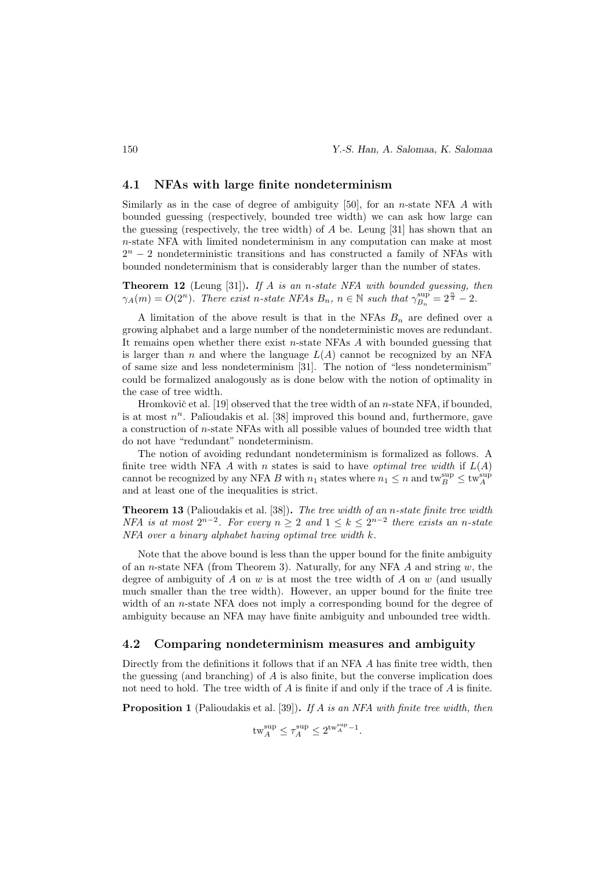#### 4.1 NFAs with large finite nondeterminism

Similarly as in the case of degree of ambiguity  $[50]$ , for an *n*-state NFA A with bounded guessing (respectively, bounded tree width) we can ask how large can the guessing (respectively, the tree width) of A be. Leung [31] has shown that an n-state NFA with limited nondeterminism in any computation can make at most  $2<sup>n</sup> - 2$  nondeterministic transitions and has constructed a family of NFAs with bounded nondeterminism that is considerably larger than the number of states.

**Theorem 12** (Leung [31]). If A is an n-state NFA with bounded guessing, then  $\gamma_A(m) = O(2^n)$ . There exist n-state NFAs  $B_n$ ,  $n \in \mathbb{N}$  such that  $\gamma_{B_n}^{\text{sup}} = 2^{\frac{n}{3}} - 2$ .

A limitation of the above result is that in the NFAs  $B_n$  are defined over a growing alphabet and a large number of the nondeterministic moves are redundant. It remains open whether there exist n-state NFAs  $\vec{A}$  with bounded guessing that is larger than  $n$  and where the language  $L(A)$  cannot be recognized by an NFA of same size and less nondeterminism [31]. The notion of "less nondeterminism" could be formalized analogously as is done below with the notion of optimality in the case of tree width.

Hromkovič et al. [19] observed that the tree width of an  $n$ -state NFA, if bounded, is at most  $n^n$ . Palioudakis et al. [38] improved this bound and, furthermore, gave a construction of n-state NFAs with all possible values of bounded tree width that do not have "redundant" nondeterminism.

The notion of avoiding redundant nondeterminism is formalized as follows. A finite tree width NFA A with n states is said to have *optimal tree width* if  $L(A)$ cannot be recognized by any NFA B with  $n_1$  states where  $n_1 \leq n$  and  $\text{tw}_B^{\text{sup}} \leq \text{tw}_A^{\text{sup}}$ and at least one of the inequalities is strict.

**Theorem 13** (Palioudakis et al. [38]). The tree width of an n-state finite tree width NFA is at most  $2^{n-2}$ . For every  $n \geq 2$  and  $1 \leq k \leq 2^{n-2}$  there exists an n-state  $NFA$  over a binary alphabet having optimal tree width  $k$ .

Note that the above bound is less than the upper bound for the finite ambiguity of an n-state NFA (from Theorem 3). Naturally, for any NFA  $A$  and string  $w$ , the degree of ambiguity of A on w is at most the tree width of A on w (and usually much smaller than the tree width). However, an upper bound for the finite tree width of an *n*-state NFA does not imply a corresponding bound for the degree of ambiguity because an NFA may have finite ambiguity and unbounded tree width.

#### 4.2 Comparing nondeterminism measures and ambiguity

Directly from the definitions it follows that if an NFA A has finite tree width, then the guessing (and branching) of  $A$  is also finite, but the converse implication does not need to hold. The tree width of  $A$  is finite if and only if the trace of  $A$  is finite.

**Proposition 1** (Palioudakis et al. [39]). If A is an NFA with finite tree width, then

$$
\text{tw}_A^{\text{sup}} \le \tau_A^{\text{sup}} \le 2^{\text{tw}_A^{\text{sup}} - 1}.
$$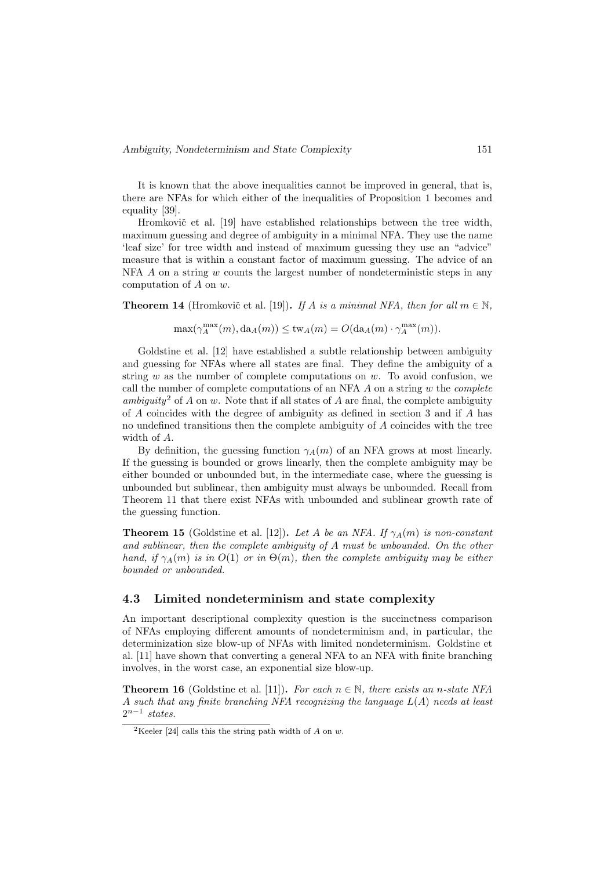It is known that the above inequalities cannot be improved in general, that is, there are NFAs for which either of the inequalities of Proposition 1 becomes and equality [39].

Hromkovič et al. [19] have established relationships between the tree width, maximum guessing and degree of ambiguity in a minimal NFA. They use the name 'leaf size' for tree width and instead of maximum guessing they use an "advice" measure that is within a constant factor of maximum guessing. The advice of an  $NFA$  A on a string w counts the largest number of nondeterministic steps in any computation of A on w.

**Theorem 14** (Hromkovič et al. [19]). If A is a minimal NFA, then for all  $m \in \mathbb{N}$ ,

$$
\max(\gamma_A^{\max}(m),{\rm da}_A(m))\leq {\rm tw}_A(m)=O({\rm da}_A(m)\cdot \gamma_A^{\max}(m)).
$$

Goldstine et al. [12] have established a subtle relationship between ambiguity and guessing for NFAs where all states are final. They define the ambiguity of a string  $w$  as the number of complete computations on  $w$ . To avoid confusion, we call the number of complete computations of an NFA  $A$  on a string  $w$  the *complete* ambiguity<sup>2</sup> of A on w. Note that if all states of A are final, the complete ambiguity of A coincides with the degree of ambiguity as defined in section 3 and if A has no undefined transitions then the complete ambiguity of A coincides with the tree width of A.

By definition, the guessing function  $\gamma_A(m)$  of an NFA grows at most linearly. If the guessing is bounded or grows linearly, then the complete ambiguity may be either bounded or unbounded but, in the intermediate case, where the guessing is unbounded but sublinear, then ambiguity must always be unbounded. Recall from Theorem 11 that there exist NFAs with unbounded and sublinear growth rate of the guessing function.

**Theorem 15** (Goldstine et al. [12]). Let A be an NFA. If  $\gamma_A(m)$  is non-constant and sublinear, then the complete ambiguity of A must be unbounded. On the other hand, if  $\gamma_A(m)$  is in  $O(1)$  or in  $\Theta(m)$ , then the complete ambiguity may be either bounded or unbounded.

#### 4.3 Limited nondeterminism and state complexity

An important descriptional complexity question is the succinctness comparison of NFAs employing different amounts of nondeterminism and, in particular, the determinization size blow-up of NFAs with limited nondeterminism. Goldstine et al. [11] have shown that converting a general NFA to an NFA with finite branching involves, in the worst case, an exponential size blow-up.

**Theorem 16** (Goldstine et al. [11]). For each  $n \in \mathbb{N}$ , there exists an *n*-state NFA A such that any finite branching NFA recognizing the language  $L(A)$  needs at least  $2^{n-1}$  states.

<sup>&</sup>lt;sup>2</sup>Keeler [24] calls this the string path width of A on w.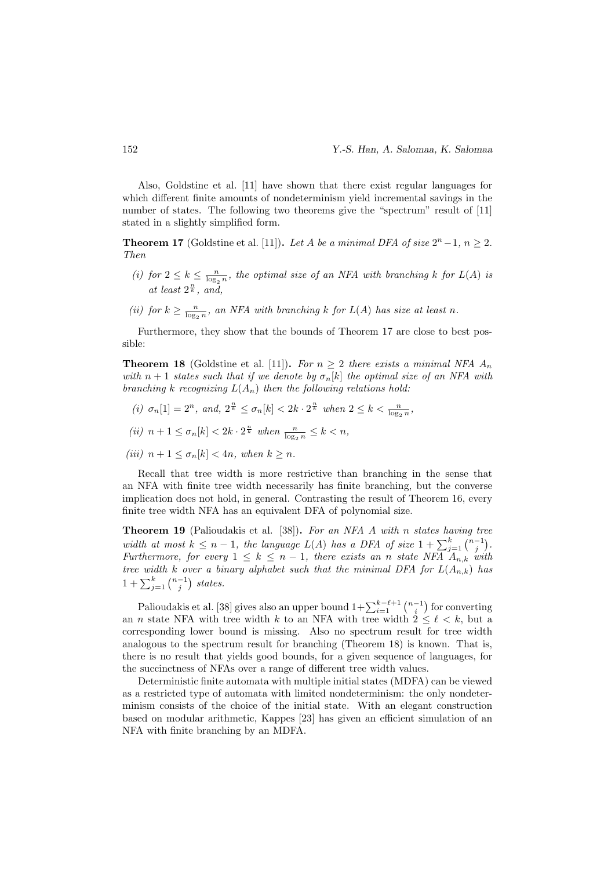Also, Goldstine et al. [11] have shown that there exist regular languages for which different finite amounts of nondeterminism yield incremental savings in the number of states. The following two theorems give the "spectrum" result of [11] stated in a slightly simplified form.

**Theorem 17** (Goldstine et al. [11]). Let A be a minimal DFA of size  $2^n - 1$ ,  $n \ge 2$ . Then

- (i) for  $2 \leq k \leq \frac{n}{\log_2 n}$ , the optimal size of an NFA with branching k for  $L(A)$  is at least  $2^{\frac{n}{k}}$ , and,
- (ii) for  $k \geq \frac{n}{\log_2 n}$ , an NFA with branching k for  $L(A)$  has size at least n.

Furthermore, they show that the bounds of Theorem 17 are close to best possible:

**Theorem 18** (Goldstine et al. [11]). For  $n \geq 2$  there exists a minimal NFA  $A_n$ with  $n + 1$  states such that if we denote by  $\sigma_n[k]$  the optimal size of an NFA with branching k recognizing  $L(A_n)$  then the following relations hold:

(i)  $\sigma_n[1] = 2^n$ , and,  $2^{\frac{n}{k}} \le \sigma_n[k] < 2k \cdot 2^{\frac{n}{k}}$  when  $2 \le k < \frac{n}{\log_2 n}$ ,

$$
(ii)\ \, n+1\leq \sigma_n[k]<2k\cdot 2^{\frac{n}{k}}\ \, when\,\, \tfrac{n}{\log_2 n}\leq k
$$

(iii)  $n+1 \leq \sigma_n[k] < 4n$ , when  $k \geq n$ .

Recall that tree width is more restrictive than branching in the sense that an NFA with finite tree width necessarily has finite branching, but the converse implication does not hold, in general. Contrasting the result of Theorem 16, every finite tree width NFA has an equivalent DFA of polynomial size.

Theorem 19 (Palioudakis et al. [38]). For an NFA A with n states having tree width at most  $k \leq n-1$ , the language  $L(A)$  has a DFA of size  $1 + \sum_{j=1}^{k} {n-1 \choose j}$ . Furthermore, for every  $1 \leq k \leq n-1$ , there exists an n state NFA  $A_{n,k}$  with tree width k over a binary alphabet such that the minimal DFA for  $L(A_{n,k})$  has  $1+\sum_{j=1}^k\binom{n-1}{j}$  states.

Palioudakis et al. [38] gives also an upper bound  $1+\sum_{i=1}^{k-\ell+1} \binom{n-1}{i}$  for converting an *n* state NFA with tree width k to an NFA with tree width  $2 \leq \ell \leq k$ , but a corresponding lower bound is missing. Also no spectrum result for tree width analogous to the spectrum result for branching (Theorem 18) is known. That is, there is no result that yields good bounds, for a given sequence of languages, for the succinctness of NFAs over a range of different tree width values.

Deterministic finite automata with multiple initial states (MDFA) can be viewed as a restricted type of automata with limited nondeterminism: the only nondeterminism consists of the choice of the initial state. With an elegant construction based on modular arithmetic, Kappes [23] has given an efficient simulation of an NFA with finite branching by an MDFA.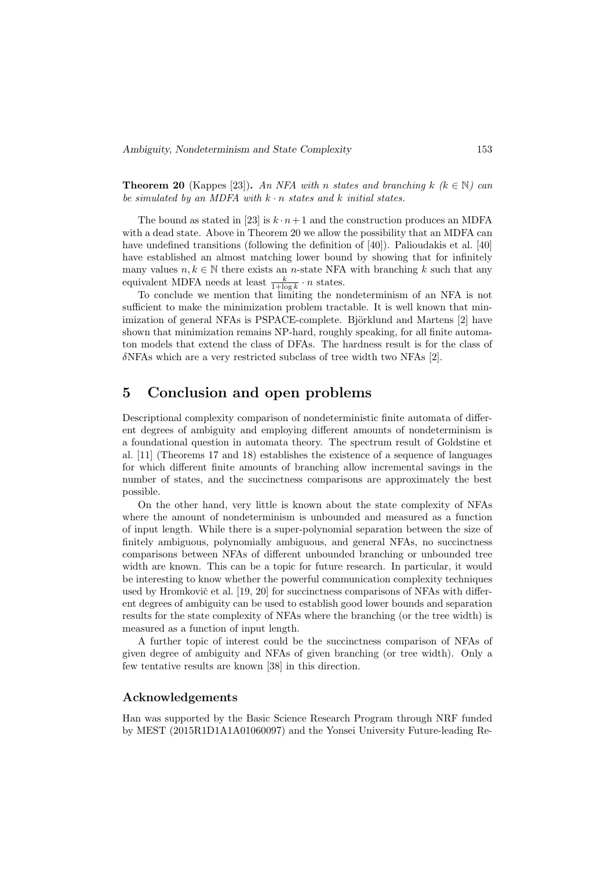**Theorem 20** (Kappes [23]). An NFA with n states and branching k  $(k \in \mathbb{N})$  can be simulated by an MDFA with  $k \cdot n$  states and k initial states.

The bound as stated in [23] is  $k \cdot n+1$  and the construction produces an MDFA with a dead state. Above in Theorem 20 we allow the possibility that an MDFA can have undefined transitions (following the definition of  $|40|$ ). Palioudakis et al.  $|40|$ have established an almost matching lower bound by showing that for infinitely many values  $n, k \in \mathbb{N}$  there exists an *n*-state NFA with branching k such that any equivalent MDFA needs at least  $\frac{k}{1+\log k} \cdot n$  states.

To conclude we mention that limiting the nondeterminism of an NFA is not sufficient to make the minimization problem tractable. It is well known that minimization of general NFAs is PSPACE-complete. Björklund and Martens [2] have shown that minimization remains NP-hard, roughly speaking, for all finite automaton models that extend the class of DFAs. The hardness result is for the class of δNFAs which are a very restricted subclass of tree width two NFAs [2].

## 5 Conclusion and open problems

Descriptional complexity comparison of nondeterministic finite automata of different degrees of ambiguity and employing different amounts of nondeterminism is a foundational question in automata theory. The spectrum result of Goldstine et al. [11] (Theorems 17 and 18) establishes the existence of a sequence of languages for which different finite amounts of branching allow incremental savings in the number of states, and the succinctness comparisons are approximately the best possible.

On the other hand, very little is known about the state complexity of NFAs where the amount of nondeterminism is unbounded and measured as a function of input length. While there is a super-polynomial separation between the size of finitely ambiguous, polynomially ambiguous, and general NFAs, no succinctness comparisons between NFAs of different unbounded branching or unbounded tree width are known. This can be a topic for future research. In particular, it would be interesting to know whether the powerful communication complexity techniques used by Hromkovič et al. [19, 20] for succinctness comparisons of NFAs with different degrees of ambiguity can be used to establish good lower bounds and separation results for the state complexity of NFAs where the branching (or the tree width) is measured as a function of input length.

A further topic of interest could be the succinctness comparison of NFAs of given degree of ambiguity and NFAs of given branching (or tree width). Only a few tentative results are known [38] in this direction.

#### Acknowledgements

Han was supported by the Basic Science Research Program through NRF funded by MEST (2015R1D1A1A01060097) and the Yonsei University Future-leading Re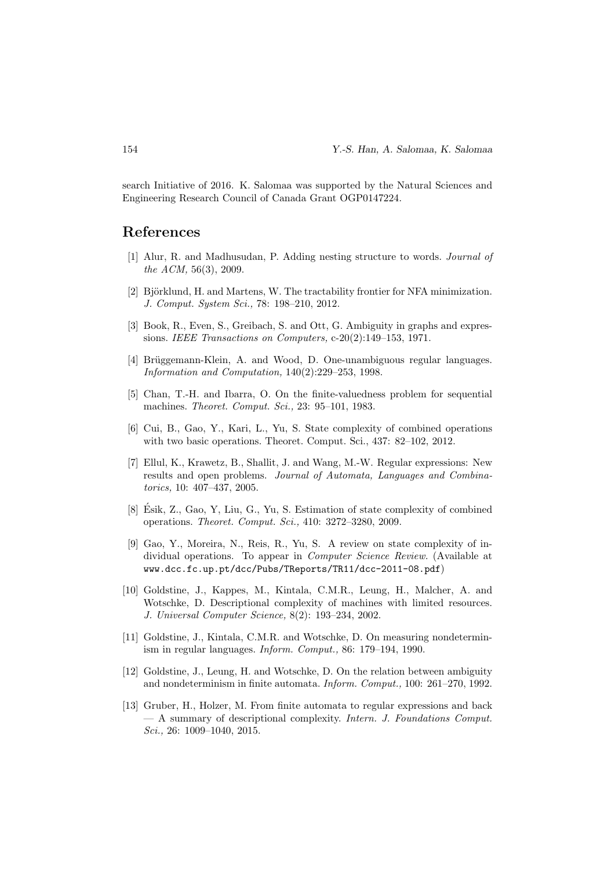search Initiative of 2016. K. Salomaa was supported by the Natural Sciences and Engineering Research Council of Canada Grant OGP0147224.

### References

- [1] Alur, R. and Madhusudan, P. Adding nesting structure to words. Journal of the ACM, 56(3), 2009.
- [2] Björklund, H. and Martens, W. The tractability frontier for NFA minimization. J. Comput. System Sci., 78: 198–210, 2012.
- [3] Book, R., Even, S., Greibach, S. and Ott, G. Ambiguity in graphs and expressions. IEEE Transactions on Computers, c-20(2):149–153, 1971.
- [4] Brüggemann-Klein, A. and Wood, D. One-unambiguous regular languages. Information and Computation, 140(2):229–253, 1998.
- [5] Chan, T.-H. and Ibarra, O. On the finite-valuedness problem for sequential machines. Theoret. Comput. Sci., 23: 95–101, 1983.
- [6] Cui, B., Gao, Y., Kari, L., Yu, S. State complexity of combined operations with two basic operations. Theoret. Comput. Sci., 437: 82–102, 2012.
- [7] Ellul, K., Krawetz, B., Shallit, J. and Wang, M.-W. Regular expressions: New results and open problems. Journal of Automata, Languages and Combinatorics, 10: 407–437, 2005.
- [8] Esik, Z., Gao, Y, Liu, G., Yu, S. Estimation of state complexity of combined ´ operations. Theoret. Comput. Sci., 410: 3272–3280, 2009.
- [9] Gao, Y., Moreira, N., Reis, R., Yu, S. A review on state complexity of individual operations. To appear in Computer Science Review. (Available at www.dcc.fc.up.pt/dcc/Pubs/TReports/TR11/dcc-2011-08.pdf)
- [10] Goldstine, J., Kappes, M., Kintala, C.M.R., Leung, H., Malcher, A. and Wotschke, D. Descriptional complexity of machines with limited resources. J. Universal Computer Science, 8(2): 193–234, 2002.
- [11] Goldstine, J., Kintala, C.M.R. and Wotschke, D. On measuring nondeterminism in regular languages. Inform. Comput., 86: 179–194, 1990.
- [12] Goldstine, J., Leung, H. and Wotschke, D. On the relation between ambiguity and nondeterminism in finite automata. Inform. Comput., 100: 261–270, 1992.
- [13] Gruber, H., Holzer, M. From finite automata to regular expressions and back — A summary of descriptional complexity. Intern. J. Foundations Comput. Sci., 26: 1009-1040, 2015.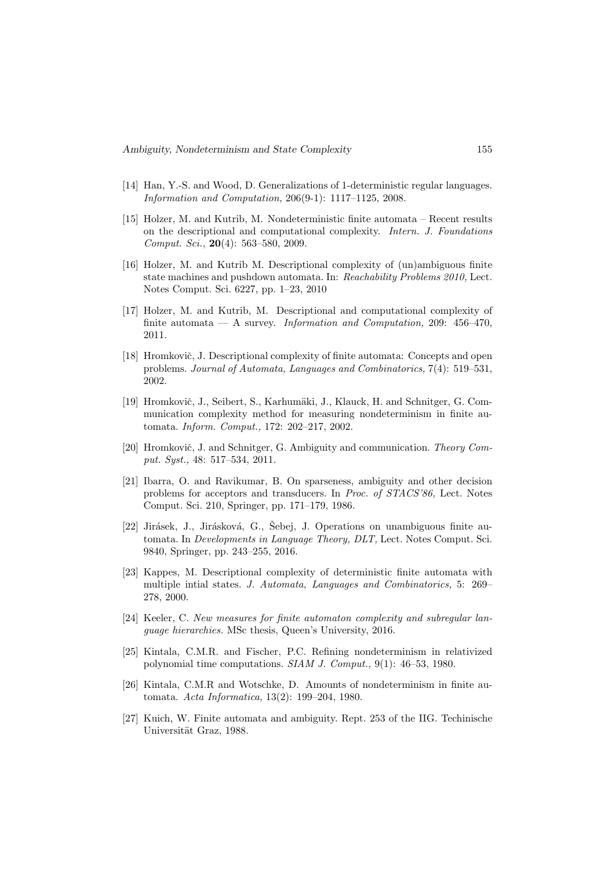- [14] Han, Y.-S. and Wood, D. Generalizations of 1-deterministic regular languages. Information and Computation, 206(9-1): 1117–1125, 2008.
- [15] Holzer, M. and Kutrib, M. Nondeterministic finite automata Recent results on the descriptional and computational complexity. Intern. J. Foundations Comput. Sci., 20(4): 563–580, 2009.
- [16] Holzer, M. and Kutrib M. Descriptional complexity of (un)ambiguous finite state machines and pushdown automata. In: Reachability Problems 2010, Lect. Notes Comput. Sci. 6227, pp. 1–23, 2010
- [17] Holzer, M. and Kutrib, M. Descriptional and computational complexity of finite automata — A survey. Information and Computation, 209:  $456-470$ , 2011.
- [18] Hromkovič, J. Descriptional complexity of finite automata: Concepts and open problems. Journal of Automata, Languages and Combinatorics, 7(4): 519–531, 2002.
- [19] Hromkovič, J., Seibert, S., Karhumäki, J., Klauck, H. and Schnitger, G. Communication complexity method for measuring nondeterminism in finite automata. Inform. Comput., 172: 202–217, 2002.
- [20] Hromkovič, J. and Schnitger, G. Ambiguity and communication. Theory Comput. Syst., 48: 517–534, 2011.
- [21] Ibarra, O. and Ravikumar, B. On sparseness, ambiguity and other decision problems for acceptors and transducers. In Proc. of STACS'86, Lect. Notes Comput. Sci. 210, Springer, pp. 171–179, 1986.
- $[22]$  Jirásek, J., Jirásková, G., Šebej, J. Operations on unambiguous finite automata. In Developments in Language Theory, DLT, Lect. Notes Comput. Sci. 9840, Springer, pp. 243–255, 2016.
- [23] Kappes, M. Descriptional complexity of deterministic finite automata with multiple intial states. J. Automata, Languages and Combinatorics, 5: 269– 278, 2000.
- [24] Keeler, C. New measures for finite automaton complexity and subregular language hierarchies. MSc thesis, Queen's University, 2016.
- [25] Kintala, C.M.R. and Fischer, P.C. Refining nondeterminism in relativized polynomial time computations. SIAM J. Comput., 9(1): 46–53, 1980.
- [26] Kintala, C.M.R and Wotschke, D. Amounts of nondeterminism in finite automata. Acta Informatica, 13(2): 199–204, 1980.
- [27] Kuich, W. Finite automata and ambiguity. Rept. 253 of the IIG. Techinische Universität Graz, 1988.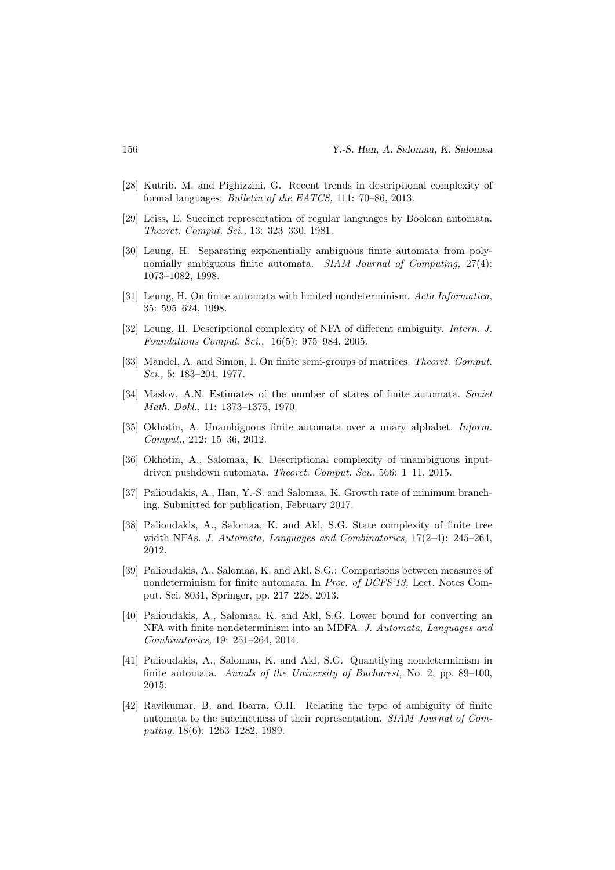- [28] Kutrib, M. and Pighizzini, G. Recent trends in descriptional complexity of formal languages. Bulletin of the EATCS, 111: 70–86, 2013.
- [29] Leiss, E. Succinct representation of regular languages by Boolean automata. Theoret. Comput. Sci., 13: 323–330, 1981.
- [30] Leung, H. Separating exponentially ambiguous finite automata from polynomially ambiguous finite automata. SIAM Journal of Computing, 27(4): 1073–1082, 1998.
- [31] Leung, H. On finite automata with limited nondeterminism. Acta Informatica, 35: 595–624, 1998.
- [32] Leung, H. Descriptional complexity of NFA of different ambiguity. Intern. J. Foundations Comput. Sci., 16(5): 975–984, 2005.
- [33] Mandel, A. and Simon, I. On finite semi-groups of matrices. Theoret. Comput. Sci., 5: 183–204, 1977.
- [34] Maslov, A.N. Estimates of the number of states of finite automata. Soviet Math. Dokl., 11: 1373–1375, 1970.
- [35] Okhotin, A. Unambiguous finite automata over a unary alphabet. Inform. Comput., 212: 15–36, 2012.
- [36] Okhotin, A., Salomaa, K. Descriptional complexity of unambiguous inputdriven pushdown automata. Theoret. Comput. Sci., 566: 1–11, 2015.
- [37] Palioudakis, A., Han, Y.-S. and Salomaa, K. Growth rate of minimum branching. Submitted for publication, February 2017.
- [38] Palioudakis, A., Salomaa, K. and Akl, S.G. State complexity of finite tree width NFAs. J. Automata, Languages and Combinatorics, 17(2–4): 245–264, 2012.
- [39] Palioudakis, A., Salomaa, K. and Akl, S.G.: Comparisons between measures of nondeterminism for finite automata. In Proc. of DCFS'13, Lect. Notes Comput. Sci. 8031, Springer, pp. 217–228, 2013.
- [40] Palioudakis, A., Salomaa, K. and Akl, S.G. Lower bound for converting an NFA with finite nondeterminism into an MDFA. J. Automata, Languages and Combinatorics, 19: 251–264, 2014.
- [41] Palioudakis, A., Salomaa, K. and Akl, S.G. Quantifying nondeterminism in finite automata. Annals of the University of Bucharest, No. 2, pp. 89–100, 2015.
- [42] Ravikumar, B. and Ibarra, O.H. Relating the type of ambiguity of finite automata to the succinctness of their representation. SIAM Journal of Computing, 18(6): 1263–1282, 1989.